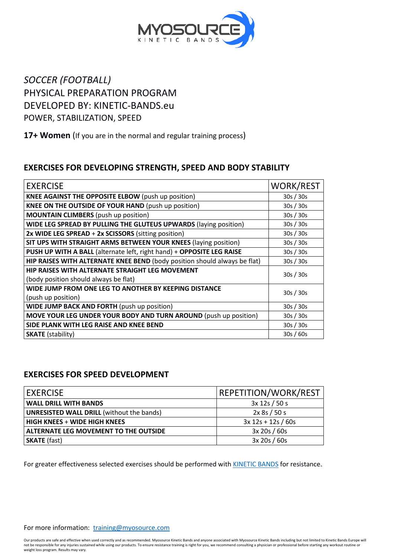

# *SOCCER (FOOTBALL)* PHYSICAL PREPARATION PROGRAM DEVELOPED BY: KINETIC-BANDS.eu POWER, STABILIZATION, SPEED

### **17+ Women** (If you are in the normal and regular training process)

## **EXERCISES FOR DEVELOPING STRENGTH, SPEED AND BODY STABILITY**

| <b>EXERCISE</b>                                                                          | <b>WORK/REST</b> |
|------------------------------------------------------------------------------------------|------------------|
| <b>KNEE AGAINST THE OPPOSITE ELBOW</b> (push up position)                                | 30s / 30s        |
| <b>KNEE ON THE OUTSIDE OF YOUR HAND (push up position)</b>                               | 30s / 30s        |
| <b>MOUNTAIN CLIMBERS</b> (push up position)                                              | 30s / 30s        |
| WIDE LEG SPREAD BY PULLING THE GLUTEUS UPWARDS (laying position)                         | 30s / 30s        |
| 2x WIDE LEG SPREAD + 2x SCISSORS (sitting position)                                      | 30s / 30s        |
| SIT UPS WITH STRAIGHT ARMS BETWEEN YOUR KNEES (laying position)                          | 30s / 30s        |
| PUSH UP WITH A BALL (alternate left, right hand) + OPPOSITE LEG RAISE                    | 30s / 30s        |
| HIP RAISES WITH ALTERNATE KNEE BEND (body position should always be flat)                | 30s / 30s        |
| HIP RAISES WITH ALTERNATE STRAIGHT LEG MOVEMENT<br>(body position should always be flat) | 30s/30s          |
| WIDE JUMP FROM ONE LEG TO ANOTHER BY KEEPING DISTANCE<br>(push up position)              | 30s / 30s        |
| WIDE JUMP BACK AND FORTH (push up position)                                              | 30s / 30s        |
| <b>MOVE YOUR LEG UNDER YOUR BODY AND TURN AROUND (push up position)</b>                  | 30s / 30s        |
| SIDE PLANK WITH LEG RAISE AND KNEE BEND                                                  | 30s / 30s        |
| <b>SKATE</b> (stability)                                                                 | 30s/60s          |

## **EXERCISES FOR SPEED DEVELOPMENT**

| <b>EXERCISE</b>                                  | <b>REPETITION/WORK/REST</b> |
|--------------------------------------------------|-----------------------------|
| <b>WALL DRILL WITH BANDS</b>                     | 3x 12s / 50s                |
| <b>UNRESISTED WALL DRILL (without the bands)</b> | 2x 8s / 50 s                |
| <b>HIGH KNEES + WIDE HIGH KNEES</b>              | $3x 12s + 12s / 60s$        |
| ALTERNATE LEG MOVEMENT TO THE OUTSIDE            | 3x 20s / 60s                |
| <b>SKATE</b> (fast)                              | 3x 20s / 60s                |

For greater effectiveness selected exercises should be performed with **KINETIC BANDS** for resistance.

Our products are safe and effective when used correctly and as recommended. Myosource Kinetic Bands and anyone associated with Myosource Kinetic Bands including but not limited to Kinetic Bands Europe will not be responsible for any injuries sustained while using our products. To ensure resistance training is right for you, we recommend consulting a physician or professional before starting any workout routine or<br>weight loss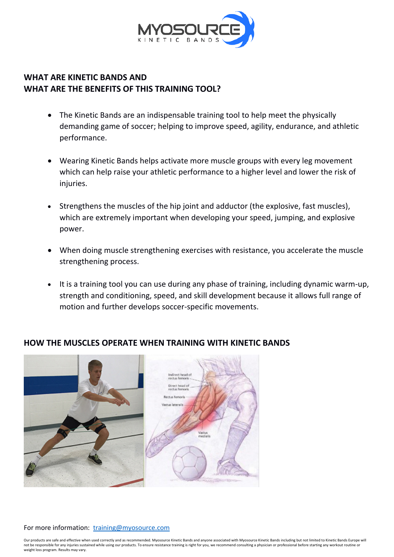

## **WHAT ARE KINETIC BANDS AND WHAT ARE THE BENEFITS OF THIS TRAINING TOOL?**

- The Kinetic Bands are an indispensable training tool to help meet the physically demanding game of soccer; helping to improve speed, agility, endurance, and athletic performance.
- Wearing Kinetic Bands helps activate more muscle groups with every leg movement which can help raise your athletic performance to a higher level and lower the risk of injuries.
- Strengthens the muscles of the hip joint and adductor (the explosive, fast muscles), which are extremely important when developing your speed, jumping, and explosive power.
- When doing muscle strengthening exercises with resistance, you accelerate the muscle strengthening process.
- It is a training tool you can use during any phase of training, including dynamic warm-up, strength and conditioning, speed, and skill development because it allows full range of motion and further develops soccer-specific movements.



## **HOW THE MUSCLES OPERATE WHEN TRAINING WITH KINETIC BANDS**

#### For more information: [training@myosource.com](mailto:training@myosource.com)

Our products are safe and effective when used correctly and as recommended. Myosource Kinetic Bands and anyone associated with Myosource Kinetic Bands including but not limited to Kinetic Bands Europe will not be responsible for any injuries sustained while using our products. To ensure resistance training is right for you, we recommend consulting a physician or professional before starting any workout routine or weight loss program. Results may vary.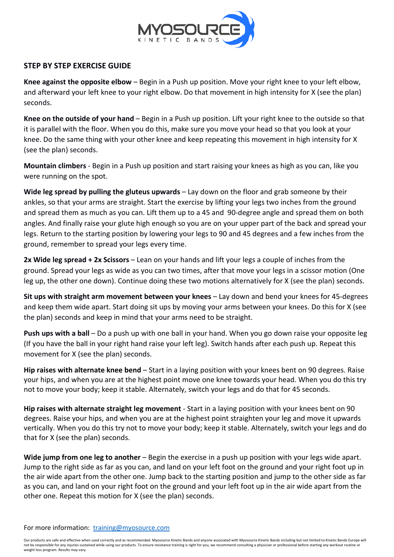

### **STEP BY STEP EXERCISE GUIDE**

**Knee against the opposite elbow** – Begin in a Push up position. Move your right knee to your left elbow, and afterward your left knee to your right elbow. Do that movement in high intensity for X (see the plan) seconds.

**Knee on the outside of your hand** – Begin in a Push up position. Lift your right knee to the outside so that it is parallel with the floor. When you do this, make sure you move your head so that you look at your knee. Do the same thing with your other knee and keep repeating this movement in high intensity for X (see the plan) seconds.

**Mountain climbers** - Begin in a Push up position and start raising your knees as high as you can, like you were running on the spot.

**Wide leg spread by pulling the gluteus upwards** – Lay down on the floor and grab someone by their ankles, so that your arms are straight. Start the exercise by lifting your legs two inches from the ground and spread them as much as you can. Lift them up to a 45 and 90-degree angle and spread them on both angles. And finally raise your glute high enough so you are on your upper part of the back and spread your legs. Return to the starting position by lowering your legs to 90 and 45 degrees and a few inches from the ground, remember to spread your legs every time.

**2x Wide leg spread + 2x Scissors** – Lean on your hands and lift your legs a couple of inches from the ground. Spread your legs as wide as you can two times, after that move your legs in a scissor motion (One leg up, the other one down). Continue doing these two motions alternatively for X (see the plan) seconds.

**Sit ups with straight arm movement between your knees** – Lay down and bend your knees for 45-degrees and keep them wide apart. Start doing sit ups by moving your arms between your knees. Do this for X (see the plan) seconds and keep in mind that your arms need to be straight.

**Push ups with a ball** – Do a push up with one ball in your hand. When you go down raise your opposite leg (If you have the ball in your right hand raise your left leg). Switch hands after each push up. Repeat this movement for X (see the plan) seconds.

**Hip raises with alternate knee bend** – Start in a laying position with your knees bent on 90 degrees. Raise your hips, and when you are at the highest point move one knee towards your head. When you do this try not to move your body; keep it stable. Alternately, switch your legs and do that for 45 seconds.

**Hip raises with alternate straight leg movement** - Start in a laying position with your knees bent on 90 degrees. Raise your hips, and when you are at the highest point straighten your leg and move it upwards vertically. When you do this try not to move your body; keep it stable. Alternately, switch your legs and do that for X (see the plan) seconds.

**Wide jump from one leg to another** – Begin the exercise in a push up position with your legs wide apart. Jump to the right side as far as you can, and land on your left foot on the ground and your right foot up in the air wide apart from the other one. Jump back to the starting position and jump to the other side as far as you can, and land on your right foot on the ground and your left foot up in the air wide apart from the other one. Repeat this motion for X (see the plan) seconds.

#### For more information: [training@myosource.com](mailto:training@myosource.com)

Our products are safe and effective when used correctly and as recommended. Myosource Kinetic Bands and anyone associated with Myosource Kinetic Bands including but not limited to Kinetic Bands Europe will not be responsible for any injuries sustained while using our products. To ensure resistance training is right for you, we recommend consulting a physician or professional before starting any workout routine or weight loss program. Results may vary.